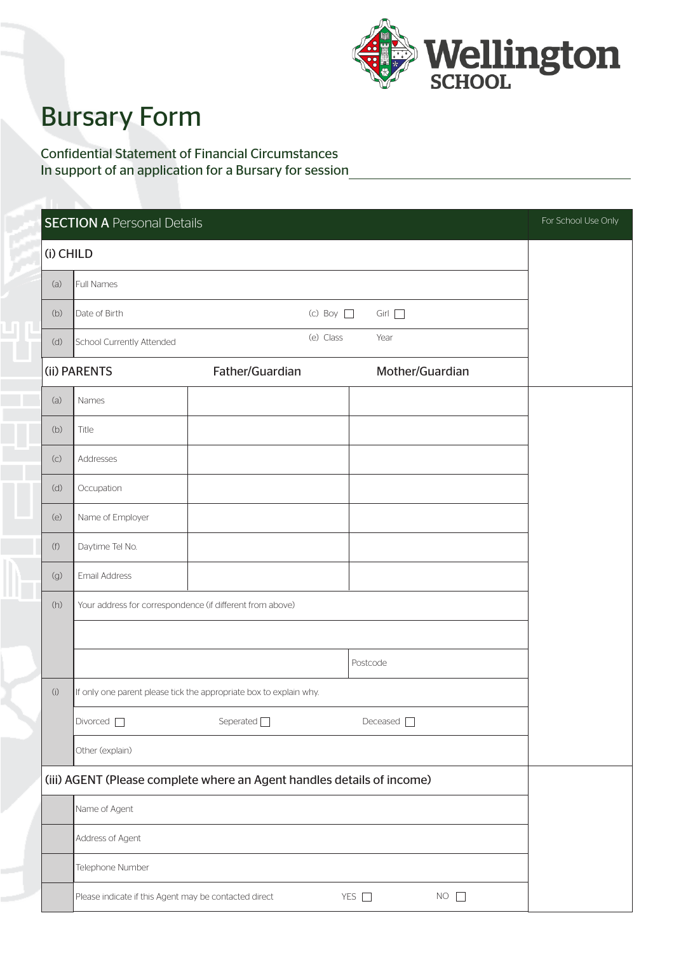

## Bursary Form

Confidential Statement of Financial Circumstances In support of an application for a Bursary for session

|                | <b>SECTION A Personal Details</b>                                      |                                                                    |                              | For School Use Only |  |  |
|----------------|------------------------------------------------------------------------|--------------------------------------------------------------------|------------------------------|---------------------|--|--|
| (i) CHILD      |                                                                        |                                                                    |                              |                     |  |  |
| (a)            | Full Names                                                             |                                                                    |                              |                     |  |  |
| (b)            | Date of Birth                                                          | $(c)$ Boy $\Box$                                                   | Girl                         |                     |  |  |
| (d)            | School Currently Attended                                              | (e) Class                                                          | Year                         |                     |  |  |
|                | (ii) PARENTS                                                           | Father/Guardian                                                    | Mother/Guardian              |                     |  |  |
| (a)            | Names                                                                  |                                                                    |                              |                     |  |  |
| (b)            | Title                                                                  |                                                                    |                              |                     |  |  |
| (C)            | Addresses                                                              |                                                                    |                              |                     |  |  |
| (d)            | Occupation                                                             |                                                                    |                              |                     |  |  |
| (e)            | Name of Employer                                                       |                                                                    |                              |                     |  |  |
| (f)            | Daytime Tel No.                                                        |                                                                    |                              |                     |  |  |
| $(\mathbf{g})$ | Email Address                                                          |                                                                    |                              |                     |  |  |
| (h)            | Your address for correspondence (if different from above)              |                                                                    |                              |                     |  |  |
|                |                                                                        |                                                                    |                              |                     |  |  |
|                |                                                                        |                                                                    | Postcode                     |                     |  |  |
| (i)            |                                                                        | If only one parent please tick the appropriate box to explain why. |                              |                     |  |  |
|                | Divorced <sub>[1]</sub>                                                | Seperated $\Box$                                                   | Deceased $\Box$              |                     |  |  |
|                | Other (explain)                                                        |                                                                    |                              |                     |  |  |
|                | (iii) AGENT (Please complete where an Agent handles details of income) |                                                                    |                              |                     |  |  |
|                | Name of Agent                                                          |                                                                    |                              |                     |  |  |
|                | Address of Agent                                                       |                                                                    |                              |                     |  |  |
|                | Telephone Number                                                       |                                                                    |                              |                     |  |  |
|                | Please indicate if this Agent may be contacted direct                  |                                                                    | YES $\square$<br>$NO$ $\Box$ |                     |  |  |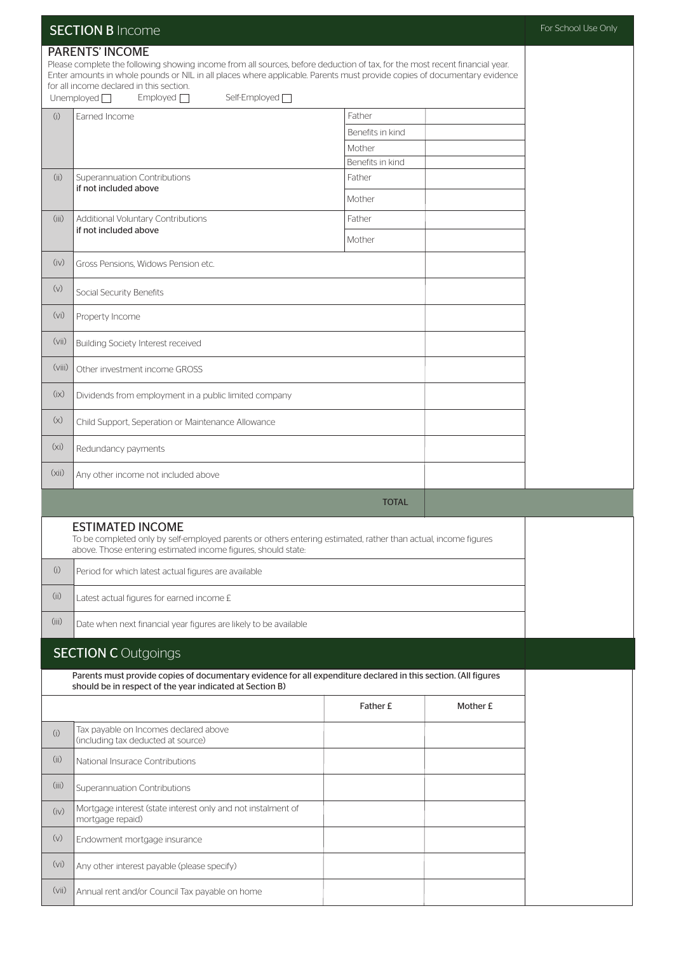|                   | <b>SECTION B Income</b>                                                                                                                                                                                                                                                                                                                                                                        | For School Use Only |          |  |  |
|-------------------|------------------------------------------------------------------------------------------------------------------------------------------------------------------------------------------------------------------------------------------------------------------------------------------------------------------------------------------------------------------------------------------------|---------------------|----------|--|--|
|                   | <b>PARENTS' INCOME</b><br>Please complete the following showing income from all sources, before deduction of tax, for the most recent financial year.<br>Enter amounts in whole pounds or NIL in all places where applicable. Parents must provide copies of documentary evidence<br>for all income declared in this section.<br>Self-Employed <sup>[1]</sup><br>Unemployed $\Box$<br>Emploved |                     |          |  |  |
| (i)               | Earned Income                                                                                                                                                                                                                                                                                                                                                                                  | Father              |          |  |  |
|                   |                                                                                                                                                                                                                                                                                                                                                                                                | Benefits in kind    |          |  |  |
|                   |                                                                                                                                                                                                                                                                                                                                                                                                | Mother              |          |  |  |
|                   |                                                                                                                                                                                                                                                                                                                                                                                                | Benefits in kind    |          |  |  |
| (ii)              | Superannuation Contributions                                                                                                                                                                                                                                                                                                                                                                   | Father              |          |  |  |
|                   | if not included above                                                                                                                                                                                                                                                                                                                                                                          | Mother              |          |  |  |
| (iii)             | Additional Voluntary Contributions<br>if not included above                                                                                                                                                                                                                                                                                                                                    | Father              |          |  |  |
|                   |                                                                                                                                                                                                                                                                                                                                                                                                | Mother              |          |  |  |
| (iv)              | Gross Pensions, Widows Pension etc.                                                                                                                                                                                                                                                                                                                                                            |                     |          |  |  |
| (v)               | Social Security Benefits                                                                                                                                                                                                                                                                                                                                                                       |                     |          |  |  |
| (vi)              | Property Income                                                                                                                                                                                                                                                                                                                                                                                |                     |          |  |  |
| (vii)             | <b>Building Society Interest received</b>                                                                                                                                                                                                                                                                                                                                                      |                     |          |  |  |
| (viii)            | Other investment income GROSS                                                                                                                                                                                                                                                                                                                                                                  |                     |          |  |  |
| (ix)              | Dividends from employment in a public limited company                                                                                                                                                                                                                                                                                                                                          |                     |          |  |  |
| (x)               | Child Support, Seperation or Maintenance Allowance                                                                                                                                                                                                                                                                                                                                             |                     |          |  |  |
| (x <sub>i</sub> ) | Redundancy payments                                                                                                                                                                                                                                                                                                                                                                            |                     |          |  |  |
| (xii)             | Any other income not included above                                                                                                                                                                                                                                                                                                                                                            |                     |          |  |  |
|                   |                                                                                                                                                                                                                                                                                                                                                                                                | <b>TOTAL</b>        |          |  |  |
|                   | <b>ESTIMATED INCOME</b><br>To be completed only by self-employed parents or others entering estimated, rather than actual, income figures<br>above. Those entering estimated income figures, should state:                                                                                                                                                                                     |                     |          |  |  |
| (i)               | Period for which latest actual figures are available                                                                                                                                                                                                                                                                                                                                           |                     |          |  |  |
| (i)               | Latest actual figures for earned income £                                                                                                                                                                                                                                                                                                                                                      |                     |          |  |  |
| (iii)             | Date when next financial year figures are likely to be available                                                                                                                                                                                                                                                                                                                               |                     |          |  |  |
|                   | <b>SECTION C</b> Outgoings                                                                                                                                                                                                                                                                                                                                                                     |                     |          |  |  |
|                   | Parents must provide copies of documentary evidence for all expenditure declared in this section. (All figures<br>should be in respect of the year indicated at Section B)                                                                                                                                                                                                                     |                     |          |  |  |
|                   |                                                                                                                                                                                                                                                                                                                                                                                                | Father £            | Mother £ |  |  |
| (i)               | Tax payable on Incomes declared above<br>(including tax deducted at source)                                                                                                                                                                                                                                                                                                                    |                     |          |  |  |
| (i)               | National Insurace Contributions                                                                                                                                                                                                                                                                                                                                                                |                     |          |  |  |
| (iii)             | Superannuation Contributions                                                                                                                                                                                                                                                                                                                                                                   |                     |          |  |  |
| (iv)              | Mortgage interest (state interest only and not instalment of<br>mortgage repaid)                                                                                                                                                                                                                                                                                                               |                     |          |  |  |
| (v)               | Endowment mortgage insurance                                                                                                                                                                                                                                                                                                                                                                   |                     |          |  |  |
| (vi)              | Any other interest payable (please specify)                                                                                                                                                                                                                                                                                                                                                    |                     |          |  |  |
| (vii)             | Annual rent and/or Council Tax payable on home                                                                                                                                                                                                                                                                                                                                                 |                     |          |  |  |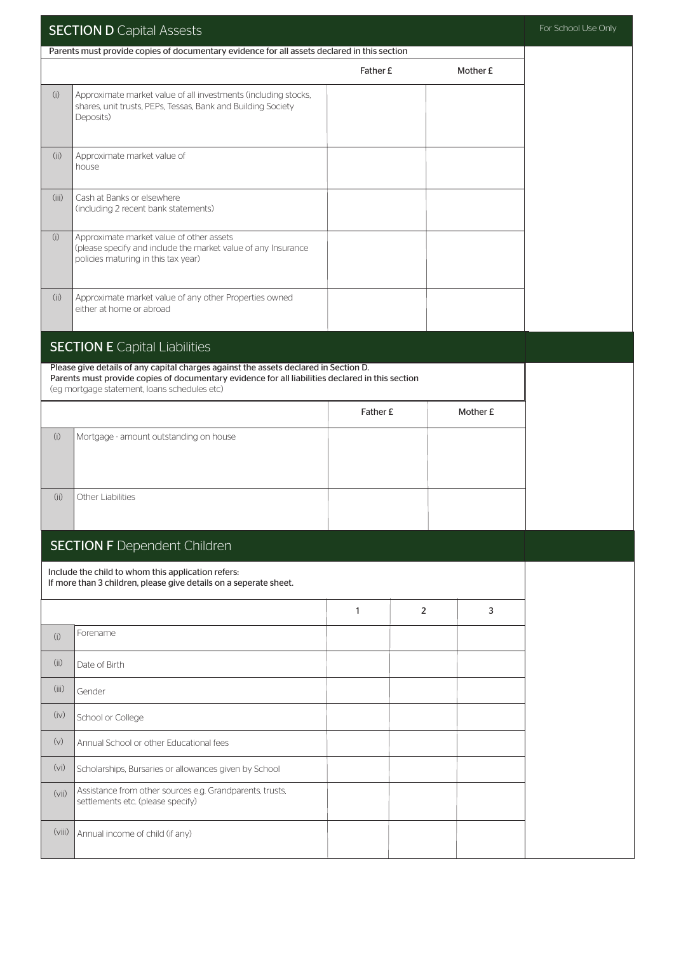| <b>SECTION D Capital Assests</b> |                                                                                                                                                                                                                                          |              |   | For School Use Only |  |
|----------------------------------|------------------------------------------------------------------------------------------------------------------------------------------------------------------------------------------------------------------------------------------|--------------|---|---------------------|--|
|                                  | Parents must provide copies of documentary evidence for all assets declared in this section                                                                                                                                              |              |   |                     |  |
|                                  |                                                                                                                                                                                                                                          | Father £     |   | Mother £            |  |
| (i)                              | Approximate market value of all investments (including stocks,<br>shares, unit trusts, PEPs, Tessas, Bank and Building Society<br>Deposits)                                                                                              |              |   |                     |  |
| (ii)                             | Approximate market value of<br>house                                                                                                                                                                                                     |              |   |                     |  |
| (iii)                            | Cash at Banks or elsewhere<br>(including 2 recent bank statements)                                                                                                                                                                       |              |   |                     |  |
| (i)                              | Approximate market value of other assets<br>(please specify and include the market value of any Insurance<br>policies maturing in this tax year)                                                                                         |              |   |                     |  |
| (ii)                             | Approximate market value of any other Properties owned<br>either at home or abroad                                                                                                                                                       |              |   |                     |  |
|                                  | <b>SECTION E Capital Liabilities</b>                                                                                                                                                                                                     |              |   |                     |  |
|                                  | Please give details of any capital charges against the assets declared in Section D.<br>Parents must provide copies of documentary evidence for all liabilities declared in this section<br>(eg mortgage statement, loans schedules etc) |              |   |                     |  |
|                                  |                                                                                                                                                                                                                                          | Father £     |   | Mother £            |  |
| (i)                              | Mortgage - amount outstanding on house                                                                                                                                                                                                   |              |   |                     |  |
| (ii)                             | Other Liabilities                                                                                                                                                                                                                        |              |   |                     |  |
|                                  | <b>SECTION F</b> Dependent Children                                                                                                                                                                                                      |              |   |                     |  |
|                                  | Include the child to whom this application refers:                                                                                                                                                                                       |              |   |                     |  |
|                                  | If more than 3 children, please give details on a seperate sheet.                                                                                                                                                                        |              |   |                     |  |
|                                  |                                                                                                                                                                                                                                          | $\mathbf{1}$ | 2 | 3                   |  |
| (i)                              | Forename                                                                                                                                                                                                                                 |              |   |                     |  |
| (ii)                             | Date of Birth                                                                                                                                                                                                                            |              |   |                     |  |
| (iii)                            | Gender                                                                                                                                                                                                                                   |              |   |                     |  |
| (iv)                             | School or College                                                                                                                                                                                                                        |              |   |                     |  |
| (v)                              | Annual School or other Educational fees                                                                                                                                                                                                  |              |   |                     |  |
| (vi)                             | Scholarships, Bursaries or allowances given by School                                                                                                                                                                                    |              |   |                     |  |
| (vii)                            | Assistance from other sources e.g. Grandparents, trusts,<br>settlements etc. (please specify)                                                                                                                                            |              |   |                     |  |
| (viii)                           | Annual income of child (if any)                                                                                                                                                                                                          |              |   |                     |  |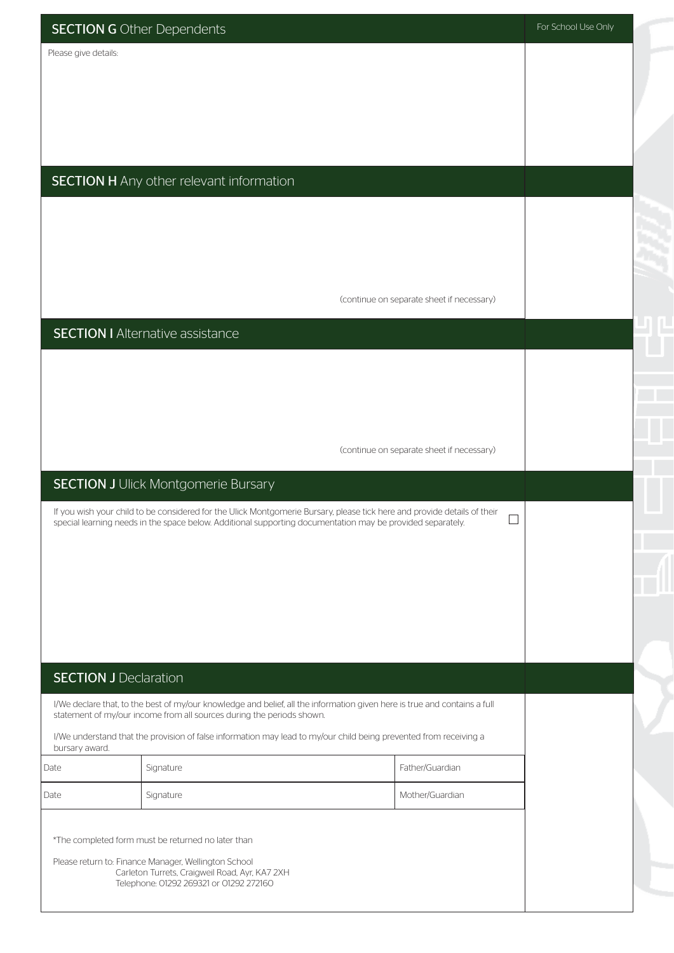|                              | <b>SECTION G</b> Other Dependents                                                         |                                                                                                                                                                                                                                        |                                           | For School Use Only |  |
|------------------------------|-------------------------------------------------------------------------------------------|----------------------------------------------------------------------------------------------------------------------------------------------------------------------------------------------------------------------------------------|-------------------------------------------|---------------------|--|
| Please give details:         |                                                                                           |                                                                                                                                                                                                                                        |                                           |                     |  |
|                              |                                                                                           |                                                                                                                                                                                                                                        |                                           |                     |  |
|                              |                                                                                           |                                                                                                                                                                                                                                        |                                           |                     |  |
|                              |                                                                                           |                                                                                                                                                                                                                                        |                                           |                     |  |
|                              |                                                                                           |                                                                                                                                                                                                                                        |                                           |                     |  |
|                              | <b>SECTION H</b> Any other relevant information                                           |                                                                                                                                                                                                                                        |                                           |                     |  |
|                              |                                                                                           |                                                                                                                                                                                                                                        |                                           |                     |  |
|                              |                                                                                           |                                                                                                                                                                                                                                        |                                           |                     |  |
|                              |                                                                                           |                                                                                                                                                                                                                                        |                                           |                     |  |
|                              |                                                                                           |                                                                                                                                                                                                                                        | (continue on separate sheet if necessary) |                     |  |
|                              | <b>SECTION I</b> Alternative assistance                                                   |                                                                                                                                                                                                                                        |                                           |                     |  |
|                              |                                                                                           |                                                                                                                                                                                                                                        |                                           |                     |  |
|                              |                                                                                           |                                                                                                                                                                                                                                        |                                           |                     |  |
|                              |                                                                                           |                                                                                                                                                                                                                                        |                                           |                     |  |
|                              |                                                                                           |                                                                                                                                                                                                                                        | (continue on separate sheet if necessary) |                     |  |
|                              |                                                                                           |                                                                                                                                                                                                                                        |                                           |                     |  |
|                              | <b>SECTION J</b> Ulick Montgomerie Bursary                                                |                                                                                                                                                                                                                                        |                                           |                     |  |
|                              |                                                                                           | If you wish your child to be considered for the Ulick Montgomerie Bursary, please tick here and provide details of their<br>special learning needs in the space below. Additional supporting documentation may be provided separately. |                                           |                     |  |
|                              |                                                                                           |                                                                                                                                                                                                                                        |                                           |                     |  |
|                              |                                                                                           |                                                                                                                                                                                                                                        |                                           |                     |  |
|                              |                                                                                           |                                                                                                                                                                                                                                        |                                           |                     |  |
|                              |                                                                                           |                                                                                                                                                                                                                                        |                                           |                     |  |
| <b>SECTION J Declaration</b> |                                                                                           |                                                                                                                                                                                                                                        |                                           |                     |  |
|                              |                                                                                           | I/We declare that, to the best of my/our knowledge and belief, all the information given here is true and contains a full                                                                                                              |                                           |                     |  |
|                              | statement of my/our income from all sources during the periods shown.                     |                                                                                                                                                                                                                                        |                                           |                     |  |
| bursary award.               |                                                                                           | I/We understand that the provision of false information may lead to my/our child being prevented from receiving a                                                                                                                      |                                           |                     |  |
| Date                         | Signature                                                                                 |                                                                                                                                                                                                                                        | Father/Guardian                           |                     |  |
| Date                         | Signature                                                                                 |                                                                                                                                                                                                                                        | Mother/Guardian                           |                     |  |
|                              | *The completed form must be returned no later than                                        |                                                                                                                                                                                                                                        |                                           |                     |  |
|                              | Please return to: Finance Manager, Wellington School                                      |                                                                                                                                                                                                                                        |                                           |                     |  |
|                              | Carleton Turrets, Craigweil Road, Ayr, KA7 2XH<br>Telephone: 01292 269321 or 01292 272160 |                                                                                                                                                                                                                                        |                                           |                     |  |

 $\overline{A}$